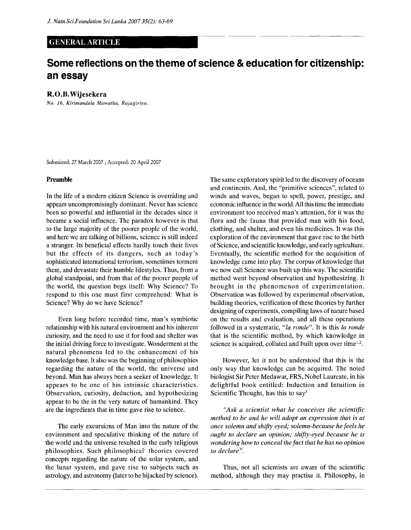# **GENERAL ARTICLE**

# **Some reflections on the theme of science & education for citizenship: an essay**

## R.O.B.Wijesekera

*No. 16, Kirimandala Mawatha, Rajagiriya.* 

Submitted: 27 March 2007 ; Accepted: 20 April 2007

#### **Preamble**

In the life of a modern citizen Science is overriding and appears uncompromisingly dominant. Never has science been so powerful and influential in the decades since it became a social influence. The paradox however is that to the large majority of the poorer people of the world, and here we are talking of billions, science is still indeed a stranger. Its beneficial effects hardly touch their lives but the effects of its dangers, such as today's sophisticated international terrorism, sometimes torment them, and devastate their humble lifestyles. Thus, from a global standpoint, and from that of the poorer people of the world, the question begs itself: Why Science? To respond to this one must first comprehend: What is Science? Why do we have Science?

Even long before recorded time, man's symbiotic relationship with his natural environment and his inherent curiosity, and the need to use it for food and shelter was the initial driving force to investigate. Wonderment at the natural phenomena led to the enhancement of his knowledge base. It also was the beginning of philosophies regarding the nature of the world, the universe and beyond. Man has always been a seeker of knowledge. It appears to be one of his intrinsic characteristics. Observation, curiosity, deduction, and hypothesizing appear to be the in the very nature of humankind. They are the ingredients that in time gave rise to science.

The early excursions of Man into the nature of the environment and speculative thinking of the nature of the world and the universe resulted in the early religious philosophies. Such philosophical" theories covered concepts regarding the nature of the solar system, and the lunar system, and gave rise to subjects such as astrology, and astronomy (later to be hijacked by science). The same exploratory spirit led to the discovery of oceans and continents. And, the "primitive sciences", related to winds and waves, began to spell, power, prestige, and economic influence in the world. All this time the immediate environment too received man's attention, for it was the flora and the fauna that provided man with his food, clothing, and shelter, and even his medicines. It was this exploration of the environment that gave rise to the birth of Science, and scientific knowledge, and early agriculture. Eventually, the scientific method for the acquisition of knowledge came into play. The corpus of knowledge that we now call Science was built up this way. The scientific method went beyond observation and hypothesizing. It brought in the phenomenon of experimentation. Observation was followed by experimental observation, building theories, verification of these theories by further designing of experiments, compiling laws of nature based on the results and evaluation, and all these operations followed in a systematic, "*la ronde*". It is this *la ronde* that is the scientific method, by which knowledge in science is acquired, collated and built upon over time<sup>1,2</sup>.

However, let it not be understood that this is the only way that knowledge can be acquired. The noted biologist Sir Peter Medawar, FRS, Nobel Laureate, in his delightful book entitled: Induction and Intuition in Scientific Thought, has this to  $say^3$ 

*"Ask a scientist what he conceives the scientific method to be and he will adopt an expression that is at once solemn and shifty eyed; solemn-because he feels he ought to declare an opinion; shifty-eyed because he is wondering how to conceal the fact that he has no opinion to declare".* 

Thus, not all scientists are aware of the scientific method, although they may practise it. Philosophy, in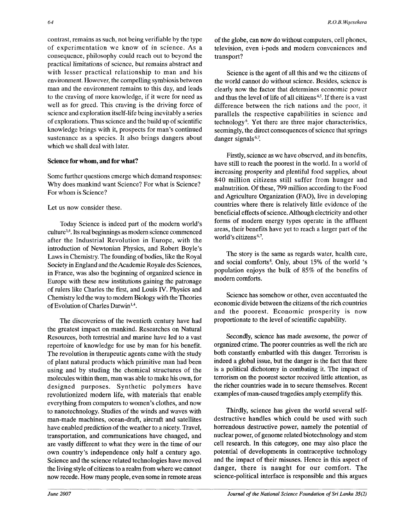contrast, remains as such, not being verifiable by the type of experimentation we know of *in* science. As a consequence, philosophy could reach out to beyond the practical limitations of science, but remains abstract and with lesser practical relationship to man and his environment. However, the compelling symbiosis between man and the environment remains to this day, and leads to the craving of more knowledge, if it were for need as well as for greed. This craving is the driving force of science and exploration itself-life being inevitably a series of explorations. Thus science and the build up of scientific knowledge brings with it, prospects for man's continued sustenance as a species. It also brings dangers about which we shall deal with later.

#### **Science for whom, and for what?**

Some further questions emerge which demand responses: Why does mankind want Science? For what is Science? For whom is Science?

Let us now consider these.

Today Science is indeed part of the modern world's culture3,4 . Its real beginnings as modern science commenced after the Industrial Revolution in Europe, with the introduction of Newtonian Physics, and Robert Boyle's Laws in Chemistry. The founding of bodies, like the Royal Society in England and the Academie Royale des Sciences, in France, was also the beginning of organized science in Europe with these new institutions gaining the patronage of rulers like Charles the first, and Louis IV. Physics and Chemistry led the way to modern Biology with the Theories of Evolution of Charles Darwin<sup>1,4</sup>.

The discoveriess of the twentieth century have had the greatest impact on mankind. Researches on Natural Resources, both terrestrial and marine have led to a vast repertoire of knowledge for use by man for his benefit. The revolution in therapeutic agents came with the study of plant natural products which primitive man had been using and by studing the chemical structures of the molecules within them, man was able to make his own, for designed purposes. Synthetic polymers have revolutionized modern life, with materials that enable everything from computers to women's clothes, and now to nanotechnology. Studies of the winds and waves with man-made machines, ocean-draft, aircraft and satellites have enabled prediction of the weather to a nicety. Travel, transportation, and communications have changed, and are vastly different to what they were in the time of our own country's independence only half a century ago. Science and the science related technologies have moved the living style of citizens to a realm from where we cannot now recede. How many people, even some in remote areas of the globe, can now do without computers, cell phones, television, even i-pods and modern conveniences and transport?

Science is the agent of all this and we the citizens of the world cannot do without science. Besides, science is clearly now the factor that determines economic power and thus the level of life of all citizens<sup>4,5</sup>. If there is a vast difference between the rich nations and the poor, it parallels the respective capabilities in science and technology<sup>6</sup>. Yet there are three major characteristics, seemingly, the direct consequences of science that springs danger signals<sup>6,7</sup>.

Firstly, science as we have observed, and its benefits, have still to reach the poorest in the world. In a world of increasing prosperity and plentiful food supplies, about 840 million citizens still suffer from hunger and malnutrition. Of these, 799 million according to the Food and Agriculture Organization (FAO), live in developing countries where there is relatively little evidence of the beneficial effects of science. Although electricity and other forms of modern energy types operate in the affluent areas, their benefits have yet to reach a larger part of the world's citizens<sup>6,7</sup>.

The story is the same as regards water, health care, and social comforts<sup>8</sup>. Only, about 15% of the world 's population enjoys the bulk of 85% of the benefits of modern comforts.

Science has somehow or other, even accentuated the economic divide between the citizens of the rich countries and the poorest. Economic prosperity is now proportionate to the level of scientific capability.

Secondly, science has made awesome, the power of organized crime. The poorer countries as well the rich are both constantly embattled with this danger. Terrorism is indeed a global issue, but the danger is the fact that there is a political dichotomy in combating it. The impact of terrorism on the poorest sector received little attention, as the richer countries wade in to secure themselves. Recent examples of man-caused tragedies amply exemplify this.

Thirdly, science has given the world several selfdestructive handles which could be used with such horrendous destructive power, namely the potential of nuclear power, of genome related biotechnology and stem cell research. In this category, one may also place the potential of developments in contraceptive technology and the impact of their misuses. Hence in this aspect of danger, there is naught for our comfort. The science-political interface is responsible and this argues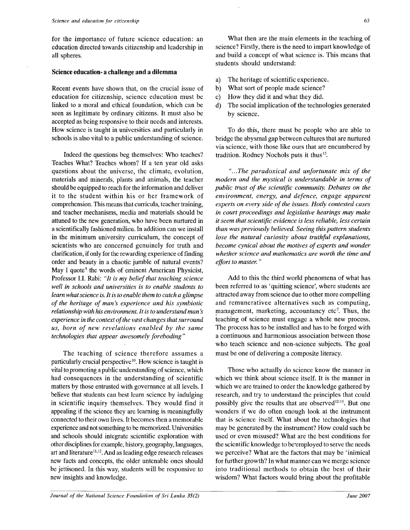for the importance of future science education: an education directed towards citizenship and leadership in all spheres.

#### **Science education- a challenge and a dilemma**

Recent events have shown that, on the crucial issue of education for citizenship, science education must be linked to a moral and ethical foundation, which can be seen as legitimate by ordinary citizens. It must also be accepted as being responsive to their needs and interests. How science is taught in universities and particularly in schools is also vital to a public understanding of science.

Indeed the questions beg themselves: Who teaches? Teaches What? Teaches whom? If a ten year old asks questions about the universe, the climate, evolution, materials and minerals, plants and animals, the teacher should be equipped to reach for the information and deliver it to the student within his or her framework of comprehension. This means that curricula, teacher training, and teacher mechanisms, media and materials should be attuned to the new generation, who have been nurtured in a scientifically fashioned milieu. In addition can we install in the minimum university curriculum, the concept of scientists who are concerned genuinely for truth and clarification, if only for the rewarding experience of finding order and beauty in a chaotic jumble of natural events? May I quote<sup>9</sup> the words of eminent American Physicist, Professor I.I. Rabi: *"It is my belief that teaching science well in schools and universities is to enable students to learn what science is. It is to enable them to catch a glimpse of the heritage of man's experience and his symbiotic relationship with his environment. It is to understand man's experience in the context of the vast changes that surround us, born of new revelations enabled by the same technologies that appear awesomely foreboding"* 

The teaching of science therefore assumes a particularly crucial perspective<sup>10</sup>. How science is taught is vital to promoting a public understanding of science, which had consequences in the understanding of scientific matters by those entrusted with governance at all levels. I believe that students can best learn science by indulging in scientific inquiry themselves. They would find it appealing if the science they are learning is meaningfully connected to their own lives. It becomes then a memorable experience and not something to be memorized. Universities and schools should integrate scientific exploration with other disciplines for example, history, geography, languages, art and literature<sup>11,12</sup>. And as leading edge research releases new facts and concepts, the older untenable ones should be jettisoned. In this way, students will be responsive to new insights and knowledge.

What then are the main elements in the teaching of science? Firstly, there is the need to impart knowledge of and build a concept of what science is. This means that students should understand:

- a) The heritage of scientific experience.
- b) What sort of people made science?
- c) How they did it and what they did.
- d) The social implication of the technologies generated by science.

To do this, there must be people who are able to bridge the abysmal gap between cultures that are nurtured via science, with those like ours that are encumbered by tradition. Rodney Nochols puts it thus<sup>13</sup>.

*"...The paradoxical and unfortunate mix of the modern and the mystical is understandable in terms of public trust of the scientific community. Debates on the environment, energy, and defence, engage apparent experts on every side of the issues. Hotly contested cases in court proceedings and legislative hearings may make it seem that scientific evidence is less reliable, less certain than was previously believed. Seeing this pattern students lose the natural curiosity about truthful explanations, become cynical about the motives of experts and wonder whether science and mathematics are worth the time and effort to master."* 

Add to this the third world phenomena of what has been referred to as 'quitting science', where students are attracted away from science due to other more compelling and remunerativee alternatives such as computing, management, marketing, accountancy etc<sup>7</sup>. Thus, the teaching of science must engage a whole new process. The process has to be installed and has to be forged with a continuous and harmonious association between those who teach science and non-science subjects. The goal must be one of delivering a composite literacy.

Those who actually do science know the manner in which we think about science itself. It is the manner in which we are trained to order the knowledge gathered by research, and try to understand the principles that could possibly give the results that are observed<sup>12-15</sup>. But one wonders if we do often enough look at the instrument that is science itself. What about the technologies that may be generated by the instrument? How could such be used or even misused? What are the best conditions for the scientific knowledge to be'employed to serve the needs we perceive? What are the factors that may be 'inimical for further growth? In what manner can we merge science into traditional methods to obtain the best of their wisdom? What factors would bring about the profitable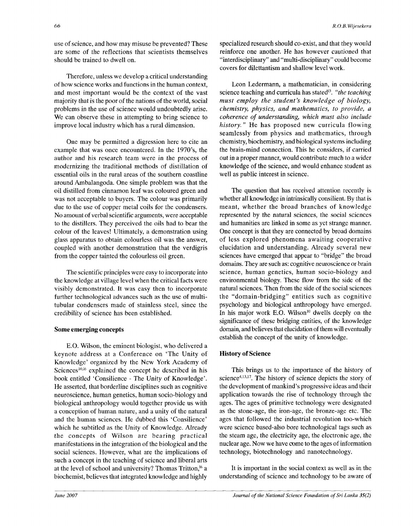use of science, and how may misuse be prevented? These are some of the reflections that scientists themselves should be trained to dwell on.

Therefore, unless we develop a critical understanding of how science works and functions in the human context, and most important would be the context of the vast majority that is the poor of the nations of the world, social problems in the use of science would undoubtedly arise. We can observe these in attempting to bring science to improve local industry which has a rural dimension.

One may be permitted a digression here to cite an example that was once encountered. In the 1970's, the author and his research team were in the process of modernizing the traditional methods of distillation of essential oils in the rural areas of the southern coastline around Ambalangoda. One simple problem was that the oil distilled from cinnamon leaf was coloured green and was not acceptable to buyers. The colour was primarily due to the use of copper metal coils for the condensers. No amount of verbal scientific arguments, were acceptable to the distillers. They perceived the oils had to bear the colour of the leaves! Ultimately, a demonstration using glass apparatus to obtain colourless oil was the answer, coupled with another demonstration that the verdigris from the copper tainted the colourless oil green.

The scientific principles were easy to incorporate into the knowledge at village level when the critical facts were visibly demonstrated. It was easy then to incorporate further technological advances such as the use of multitubular condensers made of stainless steel, since the credibility of science has been established.

#### Some **emerging concepts**

E.O. Wilson, the eminent biologist, who delivered a keynote address at a Conference on 'The Unity of Knowledge' organized by the New York Academy of Sciences<sup>10,16</sup> explained the concept he described in his book entitled 'Consilience - The Unity of Knowledge'. He asserted, that borderline disciplines such as cognitive neuroscience, human genetics, human socio-biology and biological anthropology would together provide us with a conception of human nature, and a unity of the natural and the human sciences. He dubbed this 'Consilience' which he subtitled as the Unity of Knowledge. Already the concepts of Wilson are bearing practical manifestations in the integration of the biological and the social sciences. However, what are the implications of such a concept in the teaching of science and liberal arts at the level of school and university? Thomas Tritton,<sup>16</sup> a biochemist, believes that integrated knowledge and highly

specialized research should co-exist, and that they would reinforce one another. He has however cautioned that "interdisciplinary" and "multi-disciplinary" could become covers for dilettantism and shallow level work.

Leon Ledermann, a mathematician, in considering science teaching and curricula has stated<sup>13</sup>. "the teaching *must employ the student's knowledge of biology, chemistry, physics, and mathematics, to provide, a coherence of understanding, which must also include history."* He has proposed new curricula flowing seamlessly from physics and mathematics, through chemistry, biochemistry, and biological systems including the brain-mind connection. This he considers, if carried out in a proper manner, would contribute much to a wider knowledge of the science, and would enhance student as well as public interest in science.

The question that has received attention recently is whether all knowledge in intrinsically consilient. By that is meant, whether the broad branches of knowledge represented by the natural sciences, the social sciences and humanities are linked in some as yet strange manner. One concept is that they are connected by broad domains of less explored phenomena awaiting cooperative elucidation and understanding. Already several new sciences have emerged that appear to "bridge" the broad domains. They are such as: cognitive neuroscience or brain science, human genetics, human socio-biology and environmental biology. These flow from the side of the natural sciences. Then from the side of the social sciences the "domain-bridging" entities such as cognitive psychology and biological anthropology have emerged. In his major work E.O. Wilson $10$  dwells deeply on the significance of these bridging entities, of the knowledge domain, and believes that elucidation of them will eventually establish the concept of the unity of knowledge.

### **History of Science**

This brings us to the importance of the history of science<sup>4,13,17</sup>. The history of science depicts the story of the development of mankind's progressive ideas and their application towards the rise of technology through the ages. The ages of primitive technology were designated as the stone-age, the iron-age, the bronze-age etc. The ages that followed the industrial revolution too-which were science based-also bore technological tags such as the steam age, the electricity age, the electronic age, the nuclear age. Now we have come to the ages of information technology, biotechnology and nanotechnology.

It is important in the social context as well as in the understanding of science and technology to be aware of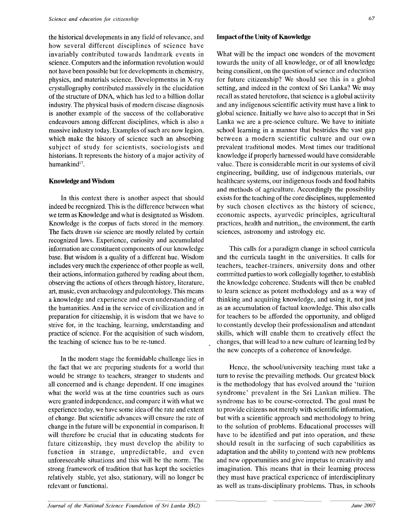the historical developments in any field of relevance, and how several different disciplines of science have invariably contributed towards landmark events in science. Computers and the information revolution would not have been possible but for developments in chemistry, physics, and materials science. Developmentss in X-ray crystallography contributed massively in the elucidation of the structure of DNA, which has led to a billion dollar industry. The physical basis of modern disease diagnosis is another example of the success of the collaborative endeavours among different disciplines, which is also a massive industry today. Examples of such are now legion, which make the history of science such an absorbing subject of study for scientists, sociologists and historians. It represents the history of a major activity of humankind<sup>17</sup>.

#### **Knowledge and Wisdom**

In this context there is another aspect that should indeed be recognized. This is the difference between what we term as Knowledge and what is designated as Wisdom. Knowledge is the corpus of facts stored in the memory. The facts drawn *via* science are mostly related by certain recognized laws. Experience, curiosity and accumulated information are constituent components of our knowledge base. But wisdom is a quality of a different hue. Wisdom includes very much the experience of other people as well, their actions, information gathered by reading about them, observing the actions of others through history, literature, art, music, even archaeology and paleontology. This means a knowledge and experience and even understanding of the humanities. And in the service of civilization and in preparation for citizenship, it is wisdom that we have to strive for, in the teaching, learning, understanding and practice of science. For the acquisition of such wisdom, the teaching of science has to be re-tuned.

In the modern stage the formidable challenge lies in the fact that we are preparing students for a world that would be strange to teachers, stranger to students and all concerned and is change dependent. If one imagines what the world was at the time countries such as ours were granted independence, and compare it with what we experience today, we have some idea of the rate and extent of change. But scientific advances will ensure the rate of change in the future will be exponential in comparison. It will therefore be crucial that in educating students for future citizenship, they must develop the ability to function in strange, unpredictable, and even unforeseeable situations and this will be the norm. The strong framework of tradition that has kept the societies relatively stable, yet also, stationary, will no longer be relevant or functional.

What will be the impact one wonders of the movement towards the unity of all knowledge, or of all knowledge being consilient, on the question of science and education for future citizenship? We should see this in a global setting, and indeed in the context of Sri Lanka? We may recall as stated heretofore, that science is a global activity and any indigenous scientific activity must have a link to global science. Initially we have also to accept that in Sri Lanka we are a pre-science culture. We have to initiate school learning in a manner that bestrides the vast gap between a modern scientific culture and our own prevalent traditional modes. Most times our traditional knowledge if properly harnessed would have considerable value. There is considerable merit in our systems of civil engineering, building, use of indigenous materials, our healthcare systems, our indigenous foods and food habits and methods of agriculture. Accordingly the possibility exists for the teaching of the core disciplines, supplemented by such chosen electives as the history of science, economic aspects, ayurvedic principles, agricultural practices, health and nutrition,, the environment, the earth sciences, astronomy and astrology etc.

This calls for a paradigm change in school curricula and the curricula taught in the universities. It calls for teachers, teacher-trainers, university dons and other committed parties to work collegially together, to establish the knowledge coherence. Students will then be enabled to learn science as potent methodology and as a way of thinking and acquiring knowledge, and using it, not just as an accumulation of factual knowledge. This also calls for teachers to be afforded the opportunity, and obliged to constantly develop their professionalism and attendant skills, which will enable them to creatively effect the changes, that will lead to a new culture of learning led by the new concepts of a coherence of knowledge.

Hence, the school/university teaching must take a turn to revise the prevailing methods. Our greatest block is the methodology that has evolved around the 'tuition syndrome' prevalent in the Sri Lankan milieu. The syndrome has to be course-corrected. The goal must be to provide citizens not merely with scientific information, but with a scientific approach and methodology to bring to the solution of problems. Educational processes will have to be identified and put into operation, and these should result in the surfacing of such capabilities as adaptation and the ability to contend with new problems and new opportunities and give impetus to creativity and imagination. This means that in their learning process they must have practical experience of interdisciplinary as well as trans-disciplinary problems. Thus, in schools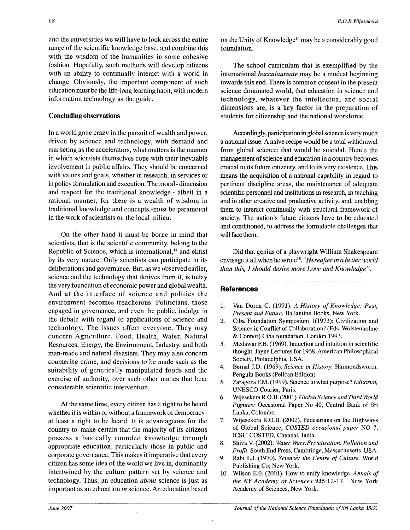and the universities we will have to look across the entire range of the scientific knowledge base, and combine this with the wisdom of the humanities in some cohesive fashion. Hopefully, such methods will develop citizens with an ability to continually interact with a world in change. Obviously, the important component of such education must be the life-long learning habit, with modern information technology as the guide.

### **Concluding observations**

**In** a world gone crazy in the pursuit of wealth and power, driven by science and technology, with demand and marketing as the accelerators, what matters is the manner in which scientists themselves cope with their inevitable involvement in public affairs. They should be concerned with values and goals, whether in research, in services or in policy formulation and execution. The moral- dimension and respect for the traditional knowledge,- albeit in a rational manner, for there is a wealth of wisdom in traditional knowledge and concepts,-must be paramount in the work of scientists on the local milieu.

On the other hand it must be borne in mind that scientists, that is the scientific community, belong to the Republic of Science, which is international,<sup>14</sup> and elitist by its very nature. Only scientists can participate in its deliberations and governance. But, as we observed earlier, science and the technology that derives from it, is today the very foundation of economic power and global wealth. And at the interface of science and politics the environment becomes treacherous. Politicians, those engaged in governance, and even the public, indulge in the debate with regard to applications of science and technology. The issues affect everyone. They may concern Agriculture, Food, Health, Water, Natural Resources, Energy, the Environment, Industry, and both man-made and natural disasters. They may also concern countering crime, and decisions to be made such as the suitability of genetically manipulated foods and the exercise of authority, over such other mattes that bear considerable scientific intervention.

At the same time, every citizen has a right to be heard whether it is within or without a framework of democracy at least a right to be heard. It is advantageous for the country to make certain that the majority of its citizens possess a basically rounded knowledge through appropriate education, particularly those in public and corporate governance. This makes it imperative that every citizen has some idea of the world we live in, dominantly intertwined by the culture pattern set by science and technology. Thus, an education *about* science is just as important as an education *in* science. An education based

on the Unity of Knowledge<sup>16</sup> may be a considerably good foundation.

The school curriculum that is exemplified by the international *baccalaureate* may be a modest beginning towards this end. There is common consent in the present science dominated world, that education in science and technology, whatever the intellectual and social dimensions are, is a key factor in the preparation of students for citizenship and the national workforce.

Accordingly, participation in global science is very much a national issue. A naive recipe would be a total withdrawal from global science: that would be suicidal. Hence the management of science and education in a country becomes crucial to its future citizenry, and to its very existence. This means the acquisition of a national capability in regard to pertinent discipline areas, the maintenance of adequate scientific personnel and institutions in research, in teaching and in other creative and productive activity, and, enabling them to interact continually with structural framework of society. The nation's future citizens have to be educated and conditioned, to address the formidable challenges that will face them.

Did that genius of a playwright William Shakespeare envisage it all when he wrote<sup>18</sup> . *"Hereafter in a better world than this, I should desire more Love and Knowledge ".* 

#### **References**

- 1. Van Doren C. (1991). *A History of Knowledge: Past, Present and Future,* Ballantine Books, New York.
- 2. Ciba Foundation Symposium 1(1973): Civilization and Science in Conflict of Collaboration? (Eds. Wolstenholme & Connor) Ciba foundation, London 1993.
- 3. Medawar P.B. (1969). Induction and intuition in scientific thought. Jayne Lectures for 1968. American Philosophical Society, Philadelphia, USA.
- 4. Bernal J.D. (1969). *Science in History.* Harmondsworth: Penguin Books (Pelican Edition).
- 5. Zaragoza EM. (1999). Science to what purpose? *Editorial,*  UNESCO Courier, Paris.
- 6. Wijesekera R.O.B. (2001). *Global Science and Third World Pigmies:* Occasional Paper No 40, Central Bank of Sri Lanka, Colombo.
- 7. Wijesekera R.O.B. (2002). Pedestrians on the Highways of Global Science, *COSTED occasional paper* NO 7, ICSU-COSTED, Chennai, India.
- 8. Shiva V. (2002). *Water Wars .'Privatisation, Pollution and Profit.* South End Press, Cambridge, Massachusetts, USA.
- 9. Rabi L.L.(1970). *Science: the Centre of Culture.* World Publishing Co; New York.
- 10. Wilson E.O. (2001). How to unify knowledge. *Annals of the NY Academy of Sciences* 935:12-17. New York Academy of Sciences, New York.